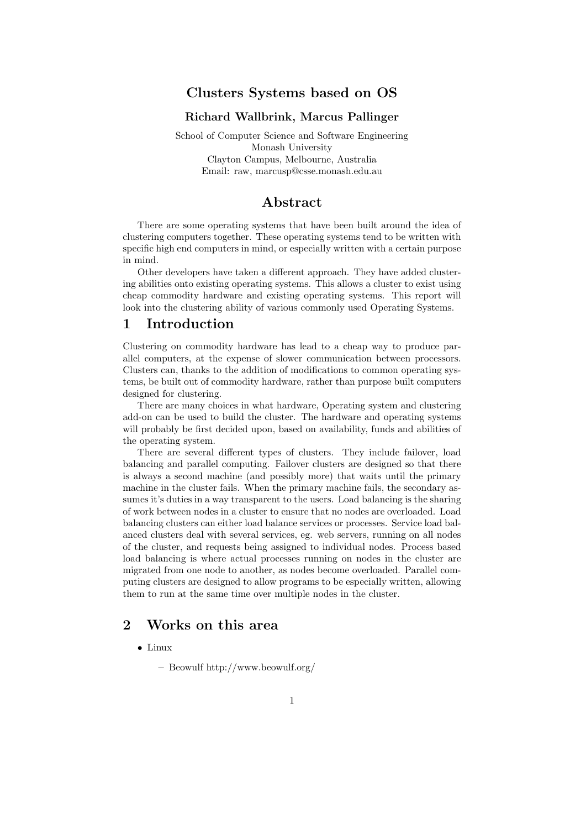# Clusters Systems based on OS

### Richard Wallbrink, Marcus Pallinger

School of Computer Science and Software Engineering Monash University Clayton Campus, Melbourne, Australia Email: raw, marcusp@csse.monash.edu.au

## Abstract

There are some operating systems that have been built around the idea of clustering computers together. These operating systems tend to be written with specific high end computers in mind, or especially written with a certain purpose in mind.

Other developers have taken a different approach. They have added clustering abilities onto existing operating systems. This allows a cluster to exist using cheap commodity hardware and existing operating systems. This report will look into the clustering ability of various commonly used Operating Systems.

## 1 Introduction

Clustering on commodity hardware has lead to a cheap way to produce parallel computers, at the expense of slower communication between processors. Clusters can, thanks to the addition of modifications to common operating systems, be built out of commodity hardware, rather than purpose built computers designed for clustering.

There are many choices in what hardware, Operating system and clustering add-on can be used to build the cluster. The hardware and operating systems will probably be first decided upon, based on availability, funds and abilities of the operating system.

There are several different types of clusters. They include failover, load balancing and parallel computing. Failover clusters are designed so that there is always a second machine (and possibly more) that waits until the primary machine in the cluster fails. When the primary machine fails, the secondary assumes it's duties in a way transparent to the users. Load balancing is the sharing of work between nodes in a cluster to ensure that no nodes are overloaded. Load balancing clusters can either load balance services or processes. Service load balanced clusters deal with several services, eg. web servers, running on all nodes of the cluster, and requests being assigned to individual nodes. Process based load balancing is where actual processes running on nodes in the cluster are migrated from one node to another, as nodes become overloaded. Parallel computing clusters are designed to allow programs to be especially written, allowing them to run at the same time over multiple nodes in the cluster.

## 2 Works on this area

#### • Linux

– Beowulf http://www.beowulf.org/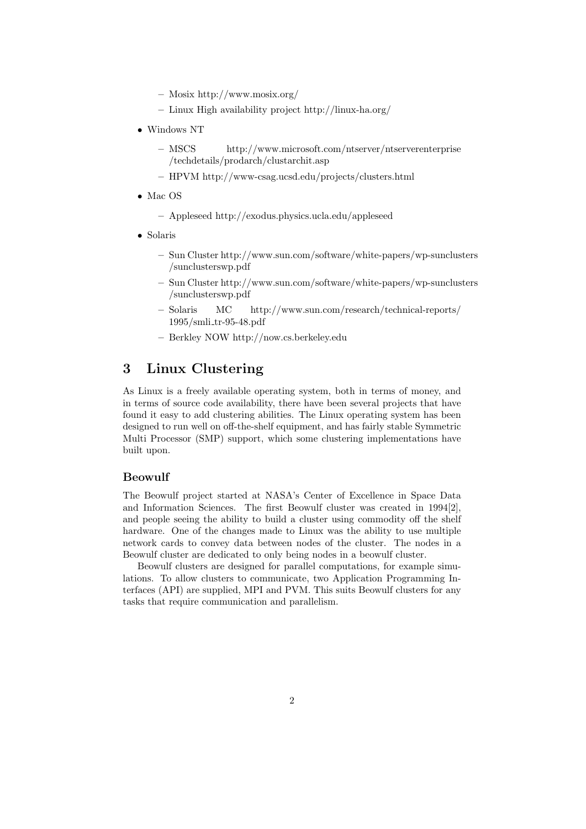- Mosix http://www.mosix.org/
- Linux High availability project http://linux-ha.org/
- Windows NT
	- MSCS http://www.microsoft.com/ntserver/ntserverenterprise /techdetails/prodarch/clustarchit.asp
	- HPVM http://www-csag.ucsd.edu/projects/clusters.html
- Mac OS
	- Appleseed http://exodus.physics.ucla.edu/appleseed
- Solaris
	- Sun Cluster http://www.sun.com/software/white-papers/wp-sunclusters /sunclusterswp.pdf
	- Sun Cluster http://www.sun.com/software/white-papers/wp-sunclusters /sunclusterswp.pdf
	- Solaris MC http://www.sun.com/research/technical-reports/ 1995/smli tr-95-48.pdf
	- Berkley NOW http://now.cs.berkeley.edu

# 3 Linux Clustering

As Linux is a freely available operating system, both in terms of money, and in terms of source code availability, there have been several projects that have found it easy to add clustering abilities. The Linux operating system has been designed to run well on off-the-shelf equipment, and has fairly stable Symmetric Multi Processor (SMP) support, which some clustering implementations have built upon.

## Beowulf

The Beowulf project started at NASA's Center of Excellence in Space Data and Information Sciences. The first Beowulf cluster was created in 1994[2], and people seeing the ability to build a cluster using commodity off the shelf hardware. One of the changes made to Linux was the ability to use multiple network cards to convey data between nodes of the cluster. The nodes in a Beowulf cluster are dedicated to only being nodes in a beowulf cluster.

Beowulf clusters are designed for parallel computations, for example simulations. To allow clusters to communicate, two Application Programming Interfaces (API) are supplied, MPI and PVM. This suits Beowulf clusters for any tasks that require communication and parallelism.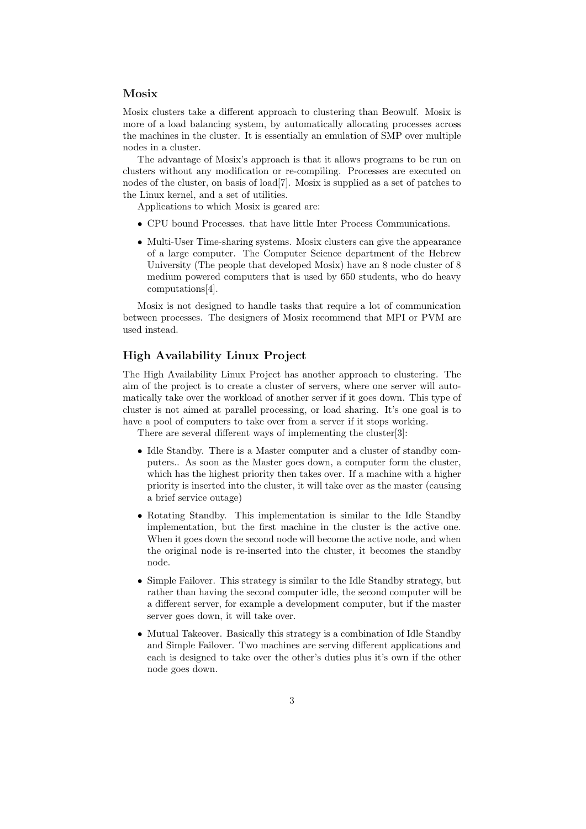#### Mosix

Mosix clusters take a different approach to clustering than Beowulf. Mosix is more of a load balancing system, by automatically allocating processes across the machines in the cluster. It is essentially an emulation of SMP over multiple nodes in a cluster.

The advantage of Mosix's approach is that it allows programs to be run on clusters without any modification or re-compiling. Processes are executed on nodes of the cluster, on basis of load[7]. Mosix is supplied as a set of patches to the Linux kernel, and a set of utilities.

Applications to which Mosix is geared are:

- CPU bound Processes. that have little Inter Process Communications.
- Multi-User Time-sharing systems. Mosix clusters can give the appearance of a large computer. The Computer Science department of the Hebrew University (The people that developed Mosix) have an 8 node cluster of 8 medium powered computers that is used by 650 students, who do heavy computations[4].

Mosix is not designed to handle tasks that require a lot of communication between processes. The designers of Mosix recommend that MPI or PVM are used instead.

### High Availability Linux Project

The High Availability Linux Project has another approach to clustering. The aim of the project is to create a cluster of servers, where one server will automatically take over the workload of another server if it goes down. This type of cluster is not aimed at parallel processing, or load sharing. It's one goal is to have a pool of computers to take over from a server if it stops working.

There are several different ways of implementing the cluster[3]:

- Idle Standby. There is a Master computer and a cluster of standby computers.. As soon as the Master goes down, a computer form the cluster, which has the highest priority then takes over. If a machine with a higher priority is inserted into the cluster, it will take over as the master (causing a brief service outage)
- Rotating Standby. This implementation is similar to the Idle Standby implementation, but the first machine in the cluster is the active one. When it goes down the second node will become the active node, and when the original node is re-inserted into the cluster, it becomes the standby node.
- Simple Failover. This strategy is similar to the Idle Standby strategy, but rather than having the second computer idle, the second computer will be a different server, for example a development computer, but if the master server goes down, it will take over.
- Mutual Takeover. Basically this strategy is a combination of Idle Standby and Simple Failover. Two machines are serving different applications and each is designed to take over the other's duties plus it's own if the other node goes down.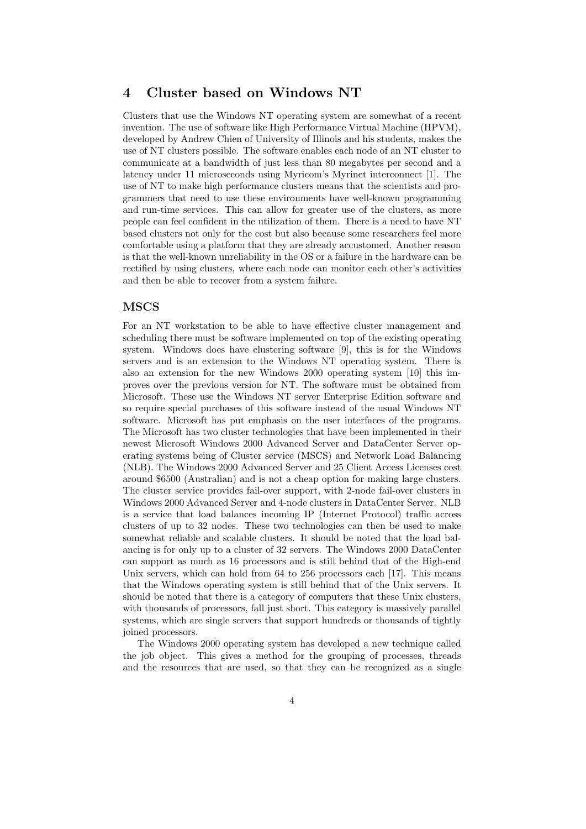# 4 Cluster based on Windows NT

Clusters that use the Windows NT operating system are somewhat of a recent invention. The use of software like High Performance Virtual Machine (HPVM), developed by Andrew Chien of University of Illinois and his students, makes the use of NT clusters possible. The software enables each node of an NT cluster to communicate at a bandwidth of just less than 80 megabytes per second and a latency under 11 microseconds using Myricom's Myrinet interconnect [1]. The use of NT to make high performance clusters means that the scientists and programmers that need to use these environments have well-known programming and run-time services. This can allow for greater use of the clusters, as more people can feel confident in the utilization of them. There is a need to have NT based clusters not only for the cost but also because some researchers feel more comfortable using a platform that they are already accustomed. Another reason is that the well-known unreliability in the OS or a failure in the hardware can be rectified by using clusters, where each node can monitor each other's activities and then be able to recover from a system failure.

### **MSCS**

For an NT workstation to be able to have effective cluster management and scheduling there must be software implemented on top of the existing operating system. Windows does have clustering software [9], this is for the Windows servers and is an extension to the Windows NT operating system. There is also an extension for the new Windows 2000 operating system [10] this improves over the previous version for NT. The software must be obtained from Microsoft. These use the Windows NT server Enterprise Edition software and so require special purchases of this software instead of the usual Windows NT software. Microsoft has put emphasis on the user interfaces of the programs. The Microsoft has two cluster technologies that have been implemented in their newest Microsoft Windows 2000 Advanced Server and DataCenter Server operating systems being of Cluster service (MSCS) and Network Load Balancing (NLB). The Windows 2000 Advanced Server and 25 Client Access Licenses cost around \$6500 (Australian) and is not a cheap option for making large clusters. The cluster service provides fail-over support, with 2-node fail-over clusters in Windows 2000 Advanced Server and 4-node clusters in DataCenter Server. NLB is a service that load balances incoming IP (Internet Protocol) traffic across clusters of up to 32 nodes. These two technologies can then be used to make somewhat reliable and scalable clusters. It should be noted that the load balancing is for only up to a cluster of 32 servers. The Windows 2000 DataCenter can support as much as 16 processors and is still behind that of the High-end Unix servers, which can hold from 64 to 256 processors each [17]. This means that the Windows operating system is still behind that of the Unix servers. It should be noted that there is a category of computers that these Unix clusters, with thousands of processors, fall just short. This category is massively parallel systems, which are single servers that support hundreds or thousands of tightly joined processors.

The Windows 2000 operating system has developed a new technique called the job object. This gives a method for the grouping of processes, threads and the resources that are used, so that they can be recognized as a single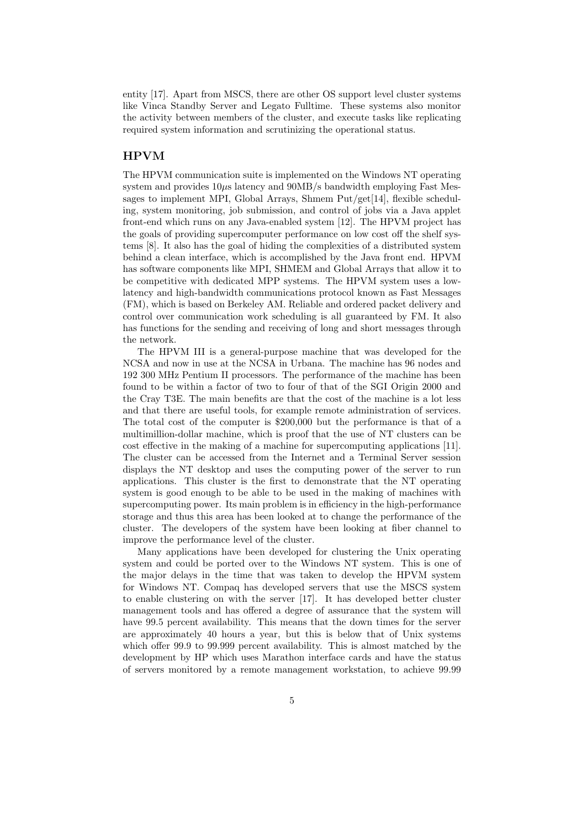entity [17]. Apart from MSCS, there are other OS support level cluster systems like Vinca Standby Server and Legato Fulltime. These systems also monitor the activity between members of the cluster, and execute tasks like replicating required system information and scrutinizing the operational status.

### HPVM

The HPVM communication suite is implemented on the Windows NT operating system and provides  $10\mu s$  latency and  $90MB/s$  bandwidth employing Fast Messages to implement MPI, Global Arrays, Shmem  $Put/get[14]$ , flexible scheduling, system monitoring, job submission, and control of jobs via a Java applet front-end which runs on any Java-enabled system [12]. The HPVM project has the goals of providing supercomputer performance on low cost off the shelf systems [8]. It also has the goal of hiding the complexities of a distributed system behind a clean interface, which is accomplished by the Java front end. HPVM has software components like MPI, SHMEM and Global Arrays that allow it to be competitive with dedicated MPP systems. The HPVM system uses a lowlatency and high-bandwidth communications protocol known as Fast Messages (FM), which is based on Berkeley AM. Reliable and ordered packet delivery and control over communication work scheduling is all guaranteed by FM. It also has functions for the sending and receiving of long and short messages through the network.

The HPVM III is a general-purpose machine that was developed for the NCSA and now in use at the NCSA in Urbana. The machine has 96 nodes and 192 300 MHz Pentium II processors. The performance of the machine has been found to be within a factor of two to four of that of the SGI Origin 2000 and the Cray T3E. The main benefits are that the cost of the machine is a lot less and that there are useful tools, for example remote administration of services. The total cost of the computer is \$200,000 but the performance is that of a multimillion-dollar machine, which is proof that the use of NT clusters can be cost effective in the making of a machine for supercomputing applications [11]. The cluster can be accessed from the Internet and a Terminal Server session displays the NT desktop and uses the computing power of the server to run applications. This cluster is the first to demonstrate that the NT operating system is good enough to be able to be used in the making of machines with supercomputing power. Its main problem is in efficiency in the high-performance storage and thus this area has been looked at to change the performance of the cluster. The developers of the system have been looking at fiber channel to improve the performance level of the cluster.

Many applications have been developed for clustering the Unix operating system and could be ported over to the Windows NT system. This is one of the major delays in the time that was taken to develop the HPVM system for Windows NT. Compaq has developed servers that use the MSCS system to enable clustering on with the server [17]. It has developed better cluster management tools and has offered a degree of assurance that the system will have 99.5 percent availability. This means that the down times for the server are approximately 40 hours a year, but this is below that of Unix systems which offer 99.9 to 99.999 percent availability. This is almost matched by the development by HP which uses Marathon interface cards and have the status of servers monitored by a remote management workstation, to achieve 99.99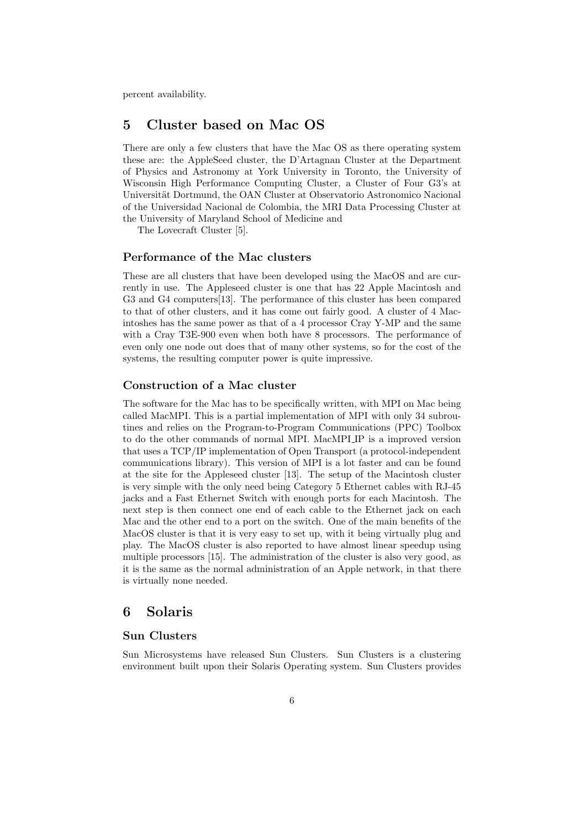percent availability.

# 5 Cluster based on Mac OS

There are only a few clusters that have the Mac OS as there operating system these are: the AppleSeed cluster, the D'Artagnan Cluster at the Department of Physics and Astronomy at York University in Toronto, the University of Wisconsin High Performance Computing Cluster, a Cluster of Four G3's at Universität Dortmund, the OAN Cluster at Observatorio Astronomico Nacional of the Universidad Nacional de Colombia, the MRI Data Processing Cluster at the University of Maryland School of Medicine and

The Lovecraft Cluster [5].

#### Performance of the Mac clusters

These are all clusters that have been developed using the MacOS and are currently in use. The Appleseed cluster is one that has 22 Apple Macintosh and G3 and G4 computers[13]. The performance of this cluster has been compared to that of other clusters, and it has come out fairly good. A cluster of 4 Macintoshes has the same power as that of a 4 processor Cray Y-MP and the same with a Cray T3E-900 even when both have 8 processors. The performance of even only one node out does that of many other systems, so for the cost of the systems, the resulting computer power is quite impressive.

## Construction of a Mac cluster

The software for the Mac has to be specifically written, with MPI on Mac being called MacMPI. This is a partial implementation of MPI with only 34 subroutines and relies on the Program-to-Program Communications (PPC) Toolbox to do the other commands of normal MPI. MacMPI IP is a improved version that uses a TCP/IP implementation of Open Transport (a protocol-independent communications library). This version of MPI is a lot faster and can be found at the site for the Appleseed cluster [13]. The setup of the Macintosh cluster is very simple with the only need being Category 5 Ethernet cables with RJ-45 jacks and a Fast Ethernet Switch with enough ports for each Macintosh. The next step is then connect one end of each cable to the Ethernet jack on each Mac and the other end to a port on the switch. One of the main benefits of the MacOS cluster is that it is very easy to set up, with it being virtually plug and play. The MacOS cluster is also reported to have almost linear speedup using multiple processors [15]. The administration of the cluster is also very good, as it is the same as the normal administration of an Apple network, in that there is virtually none needed.

## 6 Solaris

#### Sun Clusters

Sun Microsystems have released Sun Clusters. Sun Clusters is a clustering environment built upon their Solaris Operating system. Sun Clusters provides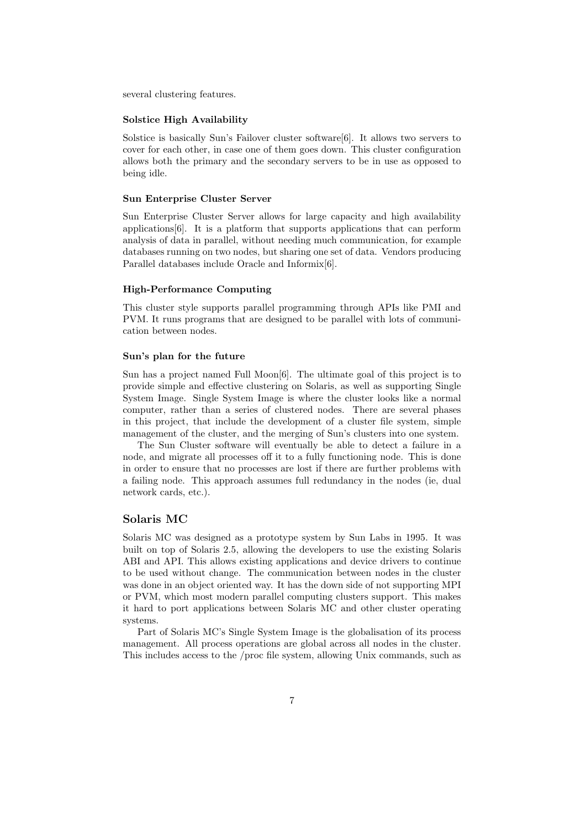several clustering features.

#### Solstice High Availability

Solstice is basically Sun's Failover cluster software[6]. It allows two servers to cover for each other, in case one of them goes down. This cluster configuration allows both the primary and the secondary servers to be in use as opposed to being idle.

#### Sun Enterprise Cluster Server

Sun Enterprise Cluster Server allows for large capacity and high availability applications[6]. It is a platform that supports applications that can perform analysis of data in parallel, without needing much communication, for example databases running on two nodes, but sharing one set of data. Vendors producing Parallel databases include Oracle and Informix[6].

#### High-Performance Computing

This cluster style supports parallel programming through APIs like PMI and PVM. It runs programs that are designed to be parallel with lots of communication between nodes.

#### Sun's plan for the future

Sun has a project named Full Moon[6]. The ultimate goal of this project is to provide simple and effective clustering on Solaris, as well as supporting Single System Image. Single System Image is where the cluster looks like a normal computer, rather than a series of clustered nodes. There are several phases in this project, that include the development of a cluster file system, simple management of the cluster, and the merging of Sun's clusters into one system.

The Sun Cluster software will eventually be able to detect a failure in a node, and migrate all processes off it to a fully functioning node. This is done in order to ensure that no processes are lost if there are further problems with a failing node. This approach assumes full redundancy in the nodes (ie, dual network cards, etc.).

#### Solaris MC

Solaris MC was designed as a prototype system by Sun Labs in 1995. It was built on top of Solaris 2.5, allowing the developers to use the existing Solaris ABI and API. This allows existing applications and device drivers to continue to be used without change. The communication between nodes in the cluster was done in an object oriented way. It has the down side of not supporting MPI or PVM, which most modern parallel computing clusters support. This makes it hard to port applications between Solaris MC and other cluster operating systems.

Part of Solaris MC's Single System Image is the globalisation of its process management. All process operations are global across all nodes in the cluster. This includes access to the /proc file system, allowing Unix commands, such as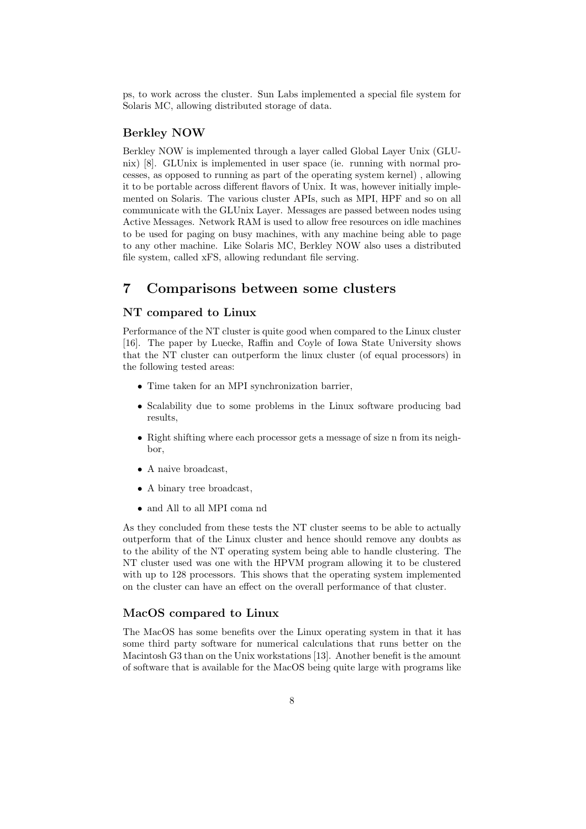ps, to work across the cluster. Sun Labs implemented a special file system for Solaris MC, allowing distributed storage of data.

## Berkley NOW

Berkley NOW is implemented through a layer called Global Layer Unix (GLUnix) [8]. GLUnix is implemented in user space (ie. running with normal processes, as opposed to running as part of the operating system kernel) , allowing it to be portable across different flavors of Unix. It was, however initially implemented on Solaris. The various cluster APIs, such as MPI, HPF and so on all communicate with the GLUnix Layer. Messages are passed between nodes using Active Messages. Network RAM is used to allow free resources on idle machines to be used for paging on busy machines, with any machine being able to page to any other machine. Like Solaris MC, Berkley NOW also uses a distributed file system, called xFS, allowing redundant file serving.

# 7 Comparisons between some clusters

### NT compared to Linux

Performance of the NT cluster is quite good when compared to the Linux cluster [16]. The paper by Luecke, Raffin and Coyle of Iowa State University shows that the NT cluster can outperform the linux cluster (of equal processors) in the following tested areas:

- Time taken for an MPI synchronization barrier,
- Scalability due to some problems in the Linux software producing bad results,
- Right shifting where each processor gets a message of size n from its neighbor,
- A naive broadcast,
- A binary tree broadcast,
- and All to all MPI coma nd

As they concluded from these tests the NT cluster seems to be able to actually outperform that of the Linux cluster and hence should remove any doubts as to the ability of the NT operating system being able to handle clustering. The NT cluster used was one with the HPVM program allowing it to be clustered with up to 128 processors. This shows that the operating system implemented on the cluster can have an effect on the overall performance of that cluster.

### MacOS compared to Linux

The MacOS has some benefits over the Linux operating system in that it has some third party software for numerical calculations that runs better on the Macintosh G3 than on the Unix workstations [13]. Another benefit is the amount of software that is available for the MacOS being quite large with programs like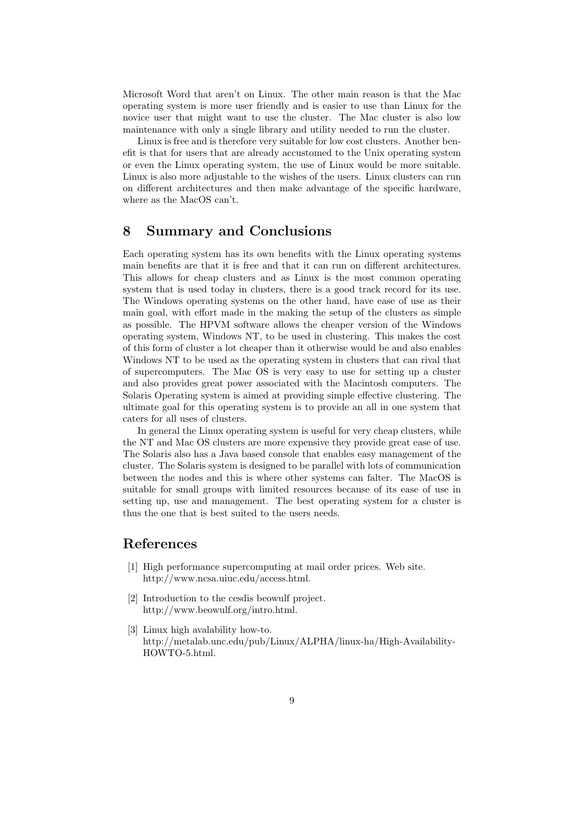Microsoft Word that aren't on Linux. The other main reason is that the Mac operating system is more user friendly and is easier to use than Linux for the novice user that might want to use the cluster. The Mac cluster is also low maintenance with only a single library and utility needed to run the cluster.

Linux is free and is therefore very suitable for low cost clusters. Another benefit is that for users that are already accustomed to the Unix operating system or even the Linux operating system, the use of Linux would be more suitable. Linux is also more adjustable to the wishes of the users. Linux clusters can run on different architectures and then make advantage of the specific hardware, where as the MacOS can't.

## 8 Summary and Conclusions

Each operating system has its own benefits with the Linux operating systems main benefits are that it is free and that it can run on different architectures. This allows for cheap clusters and as Linux is the most common operating system that is used today in clusters, there is a good track record for its use. The Windows operating systems on the other hand, have ease of use as their main goal, with effort made in the making the setup of the clusters as simple as possible. The HPVM software allows the cheaper version of the Windows operating system, Windows NT, to be used in clustering. This makes the cost of this form of cluster a lot cheaper than it otherwise would be and also enables Windows NT to be used as the operating system in clusters that can rival that of supercomputers. The Mac OS is very easy to use for setting up a cluster and also provides great power associated with the Macintosh computers. The Solaris Operating system is aimed at providing simple effective clustering. The ultimate goal for this operating system is to provide an all in one system that caters for all uses of clusters.

In general the Linux operating system is useful for very cheap clusters, while the NT and Mac OS clusters are more expensive they provide great ease of use. The Solaris also has a Java based console that enables easy management of the cluster. The Solaris system is designed to be parallel with lots of communication between the nodes and this is where other systems can falter. The MacOS is suitable for small groups with limited resources because of its ease of use in setting up, use and management. The best operating system for a cluster is thus the one that is best suited to the users needs.

## References

- [1] High performance supercomputing at mail order prices. Web site. http://www.ncsa.uiuc.edu/access.html.
- [2] Introduction to the cesdis beowulf project. http://www.beowulf.org/intro.html.
- [3] Linux high avalability how-to. http://metalab.unc.edu/pub/Linux/ALPHA/linux-ha/High-Availability-HOWTO-5.html.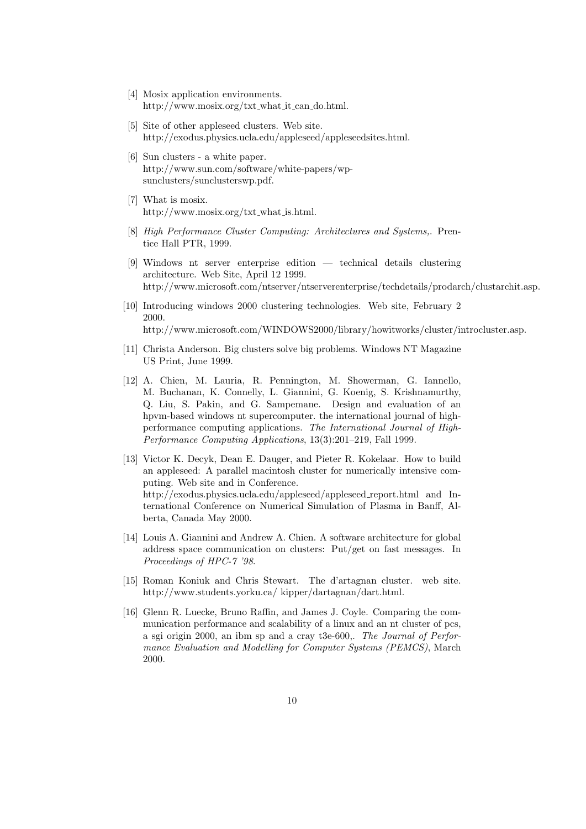- [4] Mosix application environments. http://www.mosix.org/txt what it can do.html.
- [5] Site of other appleseed clusters. Web site. http://exodus.physics.ucla.edu/appleseed/appleseedsites.html.
- [6] Sun clusters a white paper. http://www.sun.com/software/white-papers/wpsunclusters/sunclusterswp.pdf.
- [7] What is mosix. http://www.mosix.org/txt what is.html.
- [8] High Performance Cluster Computing: Architectures and Systems,. Prentice Hall PTR, 1999.
- [9] Windows nt server enterprise edition technical details clustering architecture. Web Site, April 12 1999. http://www.microsoft.com/ntserver/ntserverenterprise/techdetails/prodarch/clustarchit.asp.
- [10] Introducing windows 2000 clustering technologies. Web site, February 2 2000. http://www.microsoft.com/WINDOWS2000/library/howitworks/cluster/introcluster.asp.
- [11] Christa Anderson. Big clusters solve big problems. Windows NT Magazine US Print, June 1999.
- [12] A. Chien, M. Lauria, R. Pennington, M. Showerman, G. Iannello, M. Buchanan, K. Connelly, L. Giannini, G. Koenig, S. Krishnamurthy, Q. Liu, S. Pakin, and G. Sampemane. Design and evaluation of an hpvm-based windows nt supercomputer. the international journal of highperformance computing applications. The International Journal of High-Performance Computing Applications, 13(3):201–219, Fall 1999.
- [13] Victor K. Decyk, Dean E. Dauger, and Pieter R. Kokelaar. How to build an appleseed: A parallel macintosh cluster for numerically intensive computing. Web site and in Conference. http://exodus.physics.ucla.edu/appleseed/appleseed report.html and International Conference on Numerical Simulation of Plasma in Banff, Alberta, Canada May 2000.
- [14] Louis A. Giannini and Andrew A. Chien. A software architecture for global address space communication on clusters: Put/get on fast messages. In Proceedings of HPC-7 '98.
- [15] Roman Koniuk and Chris Stewart. The d'artagnan cluster. web site. http://www.students.yorku.ca/ kipper/dartagnan/dart.html.
- [16] Glenn R. Luecke, Bruno Raffin, and James J. Coyle. Comparing the communication performance and scalability of a linux and an nt cluster of pcs, a sgi origin 2000, an ibm sp and a cray t3e-600,. The Journal of Performance Evaluation and Modelling for Computer Systems (PEMCS), March 2000.